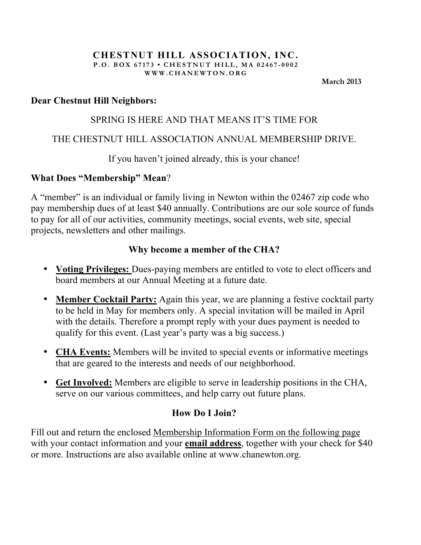#### **CHESTNUT HILL ASSOCIATION, INC. P.O. BOX 67173 • CHESTNUT HILL, MA 02467 - 0002 WWW.CHANEWTON.ORG**

**March 2013**

### **Dear Chestnut Hill Neighbors:**

# SPRING IS HERE AND THAT MEANS IT'S TIME FOR

# THE CHESTNUT HILL ASSOCIATION ANNUAL MEMBERSHIP DRIVE.

If you haven't joined already, this is your chance!

### **What Does "Membership" Mean**?

A "member" is an individual or family living in Newton within the 02467 zip code who pay membership dues of at least \$40 annually. Contributions are our sole source of funds to pay for all of our activities, community meetings, social events, web site, special projects, newsletters and other mailings.

### **Why become a member of the CHA?**

- **Voting Privileges:** Dues-paying members are entitled to vote to elect officers and board members at our Annual Meeting at a future date.
- **Member Cocktail Party:** Again this year, we are planning a festive cocktail party to be held in May for members only. A special invitation will be mailed in April with the details. Therefore a prompt reply with your dues payment is needed to qualify for this event. (Last year's party was a big success.)
- **CHA Events:** Members will be invited to special events or informative meetings that are geared to the interests and needs of our neighborhood.
- **Get Involved:** Members are eligible to serve in leadership positions in the CHA, serve on our various committees, and help carry out future plans.

### **How Do I Join?**

Fill out and return the enclosed Membership Information Form on the following page with your contact information and your **email address**, together with your check for \$40 or more. Instructions are also available online at www.chanewton.org.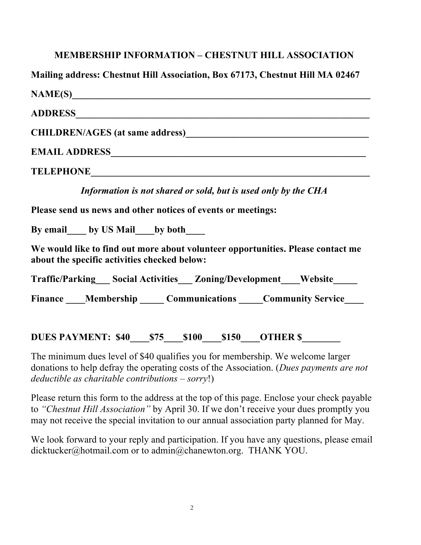### **MEMBERSHIP INFORMATION – CHESTNUT HILL ASSOCIATION**

**Mailing address: Chestnut Hill Association, Box 67173, Chestnut Hill MA 02467**

**NAME(S) ADDRESS\_\_\_\_\_\_\_\_\_\_\_\_\_\_\_\_\_\_\_\_\_\_\_\_\_\_\_\_\_\_\_\_\_\_\_\_\_\_\_\_\_\_\_\_\_\_\_\_\_\_\_\_\_\_\_\_\_\_\_\_\_ CHILDREN/AGES (at same address)\_\_\_\_\_\_\_\_\_\_\_\_\_\_\_\_\_\_\_\_\_\_\_\_\_\_\_\_\_\_\_\_\_\_\_\_\_\_ EMAIL ADDRESS\_\_\_\_\_\_\_\_\_\_\_\_\_\_\_\_\_\_\_\_\_\_\_\_\_\_\_\_\_\_\_\_\_\_\_\_\_\_\_\_\_\_\_\_\_\_\_\_\_\_\_\_\_ TELEPHONE\_\_\_\_\_\_\_\_\_\_\_\_\_\_\_\_\_\_\_\_\_\_\_\_\_\_\_\_\_\_\_\_\_\_\_\_\_\_\_\_\_\_\_\_\_\_\_\_\_\_\_\_\_\_\_\_\_\_** *Information is not shared or sold, but is used only by the CHA*  **Please send us news and other notices of events or meetings:**  By email by US Mail by both **We would like to find out more about volunteer opportunities. Please contact me about the specific activities checked below: Traffic/Parking Social Activities Zoning/Development Website** Finance Membership Communications Community Service

# **DUES PAYMENT: \$40\_\_\_\_\$75\_\_\_\_\$100\_\_\_\_\$150\_\_\_\_OTHER \$\_\_\_\_\_\_\_\_**

The minimum dues level of \$40 qualifies you for membership. We welcome larger donations to help defray the operating costs of the Association. (*Dues payments are not deductible as charitable contributions – sorry*!)

Please return this form to the address at the top of this page. Enclose your check payable to *"Chestnut Hill Association"* by April 30. If we don't receive your dues promptly you may not receive the special invitation to our annual association party planned for May.

We look forward to your reply and participation. If you have any questions, please email dicktucker@hotmail.com or to admin@chanewton.org. THANK YOU.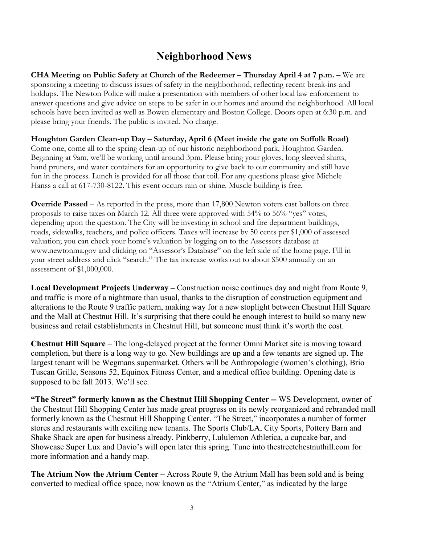# **Neighborhood News**

**CHA Meeting on Public Safety at Church of the Redeemer – Thursday April 4 at 7 p.m. –** We are sponsoring a meeting to discuss issues of safety in the neighborhood, reflecting recent break-ins and holdups. The Newton Police will make a presentation with members of other local law enforcement to answer questions and give advice on steps to be safer in our homes and around the neighborhood. All local schools have been invited as well as Bowen elementary and Boston College. Doors open at 6:30 p.m. and please bring your friends. The public is invited. No charge.

**Houghton Garden Clean-up Day – Saturday, April 6 (Meet inside the gate on Suffolk Road)** Come one, come all to the spring clean-up of our historic neighborhood park, Houghton Garden. Beginning at 9am, we'll be working until around 3pm. Please bring your gloves, long sleeved shirts, hand pruners, and water containers for an opportunity to give back to our community and still have fun in the process. Lunch is provided for all those that toil. For any questions please give Michele Hanss a call at 617-730-8122. This event occurs rain or shine. Muscle building is free.

**Override Passed** – As reported in the press, more than 17,800 Newton voters cast ballots on three proposals to raise taxes on March 12. All three were approved with 54% to 56% "yes" votes, depending upon the question. The City will be investing in school and fire department buildings, roads, sidewalks, teachers, and police officers. Taxes will increase by 50 cents per \$1,000 of assessed valuation; you can check your home's valuation by logging on to the Assessors database at www.newtonma.gov and clicking on "Assessor's Database" on the left side of the home page. Fill in your street address and click "search." The tax increase works out to about \$500 annually on an assessment of \$1,000,000.

**Local Development Projects Underway –** Construction noise continues day and night from Route 9, and traffic is more of a nightmare than usual, thanks to the disruption of construction equipment and alterations to the Route 9 traffic pattern, making way for a new stoplight between Chestnut Hill Square and the Mall at Chestnut Hill. It's surprising that there could be enough interest to build so many new business and retail establishments in Chestnut Hill, but someone must think it's worth the cost.

**Chestnut Hill Square** – The long-delayed project at the former Omni Market site is moving toward completion, but there is a long way to go. New buildings are up and a few tenants are signed up. The largest tenant will be Wegmans supermarket. Others will be Anthropologie (women's clothing), Brio Tuscan Grille, Seasons 52, Equinox Fitness Center, and a medical office building. Opening date is supposed to be fall 2013. We'll see.

**"The Street" formerly known as the Chestnut Hill Shopping Center --** WS Development, owner of the Chestnut Hill Shopping Center has made great progress on its newly reorganized and rebranded mall formerly known as the Chestnut Hill Shopping Center. "The Street," incorporates a number of former stores and restaurants with exciting new tenants. The Sports Club/LA, City Sports, Pottery Barn and Shake Shack are open for business already. Pinkberry, Lululemon Athletica, a cupcake bar, and Showcase Super Lux and Davio's will open later this spring. Tune into thestreetchestnuthill.com for more information and a handy map.

**The Atrium Now the Atrium Center –** Across Route 9, the Atrium Mall has been sold and is being converted to medical office space, now known as the "Atrium Center," as indicated by the large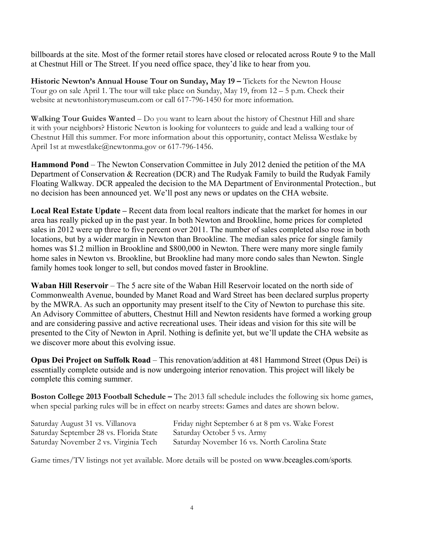billboards at the site. Most of the former retail stores have closed or relocated across Route 9 to the Mall at Chestnut Hill or The Street. If you need office space, they'd like to hear from you.

**Historic Newton's Annual House Tour on Sunday, May 19 – Tickets for the Newton House** Tour go on sale April 1. The tour will take place on Sunday, May 19, from 12 – 5 p.m. Check their website at newtonhistorymuseum.com or call 617-796-1450 for more information.

**Walking Tour Guides Wanted** – Do you want to learn about the history of Chestnut Hill and share it with your neighbors? Historic Newton is looking for volunteers to guide and lead a walking tour of Chestnut Hill this summer. For more information about this opportunity, contact Melissa Westlake by April 1st at mwestlake@newtonma.gov or 617-796-1456.

**Hammond Pond** – The Newton Conservation Committee in July 2012 denied the petition of the MA Department of Conservation & Recreation (DCR) and The Rudyak Family to build the Rudyak Family Floating Walkway. DCR appealed the decision to the MA Department of Environmental Protection., but no decision has been announced yet. We'll post any news or updates on the CHA website.

**Local Real Estate Update –** Recent data from local realtors indicate that the market for homes in our area has really picked up in the past year. In both Newton and Brookline, home prices for completed sales in 2012 were up three to five percent over 2011. The number of sales completed also rose in both locations, but by a wider margin in Newton than Brookline. The median sales price for single family homes was \$1.2 million in Brookline and \$800,000 in Newton. There were many more single family home sales in Newton vs. Brookline, but Brookline had many more condo sales than Newton. Single family homes took longer to sell, but condos moved faster in Brookline.

**Waban Hill Reservoir** – The 5 acre site of the Waban Hill Reservoir located on the north side of Commonwealth Avenue, bounded by Manet Road and Ward Street has been declared surplus property by the MWRA. As such an opportunity may present itself to the City of Newton to purchase this site. An Advisory Committee of abutters, Chestnut Hill and Newton residents have formed a working group and are considering passive and active recreational uses. Their ideas and vision for this site will be presented to the City of Newton in April. Nothing is definite yet, but we'll update the CHA website as we discover more about this evolving issue.

**Opus Dei Project on Suffolk Road** – This renovation/addition at 481 Hammond Street (Opus Dei) is essentially complete outside and is now undergoing interior renovation. This project will likely be complete this coming summer.

**Boston College 2013 Football Schedule –** The 2013 fall schedule includes the following six home games, when special parking rules will be in effect on nearby streets: Games and dates are shown below.

| Saturday August 31 vs. Villanova        | Friday night September 6 at 8 pm vs. Wake Forest |
|-----------------------------------------|--------------------------------------------------|
| Saturday September 28 vs. Florida State | Saturday October 5 vs. Army                      |
| Saturday November 2 vs. Virginia Tech   | Saturday November 16 vs. North Carolina State    |

Game times/TV listings not yet available. More details will be posted on www.bceagles.com/sports.